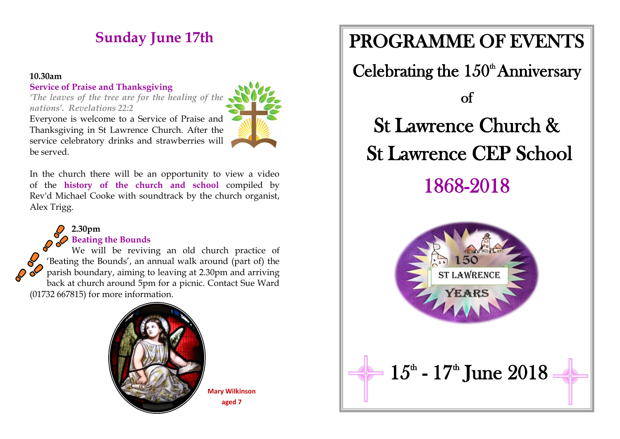# **Sunday June 17th**

#### **10.30am**

#### **Service of Praise and Thanksgiving**

*'The leaves of the tree are for the healing of the nations'. Revelations 22:2*



Everyone is welcome to a Service of Praise and Thanksgiving in St Lawrence Church. After the service celebratory drinks and strawberries will be served.

In the church there will be an opportunity to view a video of the **history of the church and school** compiled by Rev'd Michael Cooke with soundtrack by the church organist, Alex Trigg.

#### **2.30pm Beating the Bounds**

We will be reviving an old church practice of 'Beating the Bounds', an annual walk around (part of) the parish boundary, aiming to leaving at 2.30pm and arriving back at church around 5pm for a picnic. Contact Sue Ward (01732 667815) for more information.



**Mary Wilkinson aged 7**

# PROGRAMME OF EVENTS Celebrating the  $150<sup>th</sup>$  Anniversary of St Lawrence Church & St Lawrence CEP School 1868-2018 **ST LAWRENCE**  $15^{\text{th}}$  -  $17^{\text{th}}$  June  $2018$